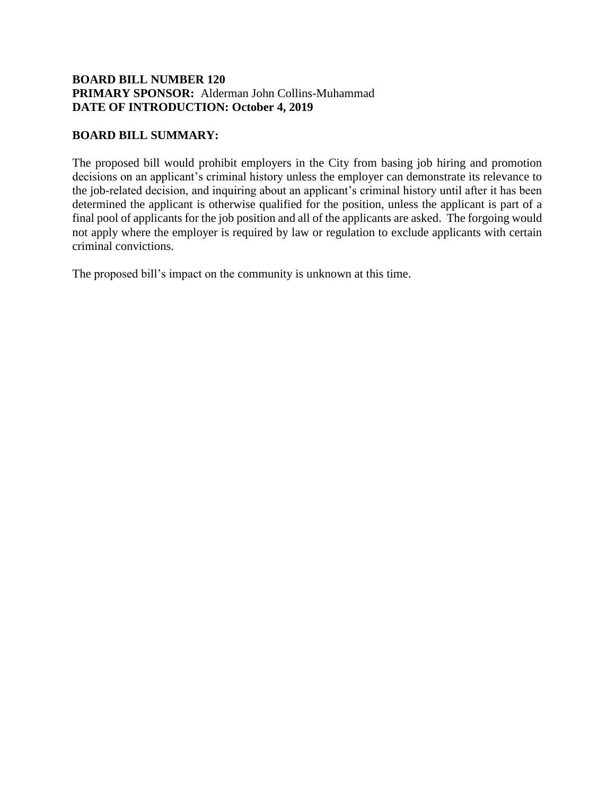## **BOARD BILL NUMBER 120 PRIMARY SPONSOR:** Alderman John Collins-Muhammad **DATE OF INTRODUCTION: October 4, 2019**

## **BOARD BILL SUMMARY:**

The proposed bill would prohibit employers in the City from basing job hiring and promotion decisions on an applicant's criminal history unless the employer can demonstrate its relevance to the job-related decision, and inquiring about an applicant's criminal history until after it has been determined the applicant is otherwise qualified for the position, unless the applicant is part of a final pool of applicants for the job position and all of the applicants are asked. The forgoing would not apply where the employer is required by law or regulation to exclude applicants with certain criminal convictions.

The proposed bill's impact on the community is unknown at this time.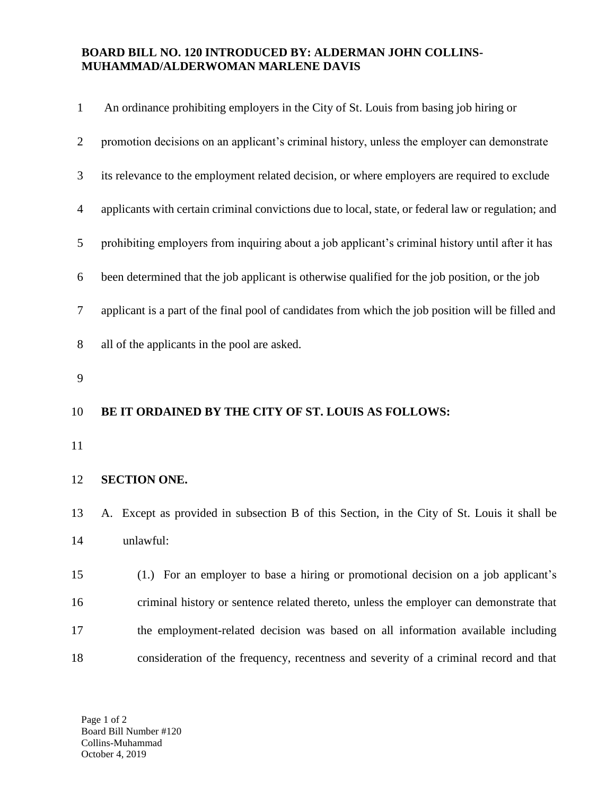## **BOARD BILL NO. 120 INTRODUCED BY: ALDERMAN JOHN COLLINS-MUHAMMAD/ALDERWOMAN MARLENE DAVIS**

| $\mathbf{1}$   | An ordinance prohibiting employers in the City of St. Louis from basing job hiring or               |
|----------------|-----------------------------------------------------------------------------------------------------|
| $\overline{2}$ | promotion decisions on an applicant's criminal history, unless the employer can demonstrate         |
| 3              | its relevance to the employment related decision, or where employers are required to exclude        |
| 4              | applicants with certain criminal convictions due to local, state, or federal law or regulation; and |
| 5              | prohibiting employers from inquiring about a job applicant's criminal history until after it has    |
| 6              | been determined that the job applicant is otherwise qualified for the job position, or the job      |
| 7              | applicant is a part of the final pool of candidates from which the job position will be filled and  |
| 8              | all of the applicants in the pool are asked.                                                        |
| 9              |                                                                                                     |
|                |                                                                                                     |
| 10             | BE IT ORDAINED BY THE CITY OF ST. LOUIS AS FOLLOWS:                                                 |
| 11             |                                                                                                     |
| 12             | <b>SECTION ONE.</b>                                                                                 |
| 13             | A. Except as provided in subsection B of this Section, in the City of St. Louis it shall be         |
| 14             | unlawful:                                                                                           |
| 15             | (1.) For an employer to base a hiring or promotional decision on a job applicant's                  |
| 16             | criminal history or sentence related thereto, unless the employer can demonstrate that              |
| 17             | the employment-related decision was based on all information available including                    |

Page 1 of 2 Board Bill Number #120 Collins-Muhammad October 4, 2019